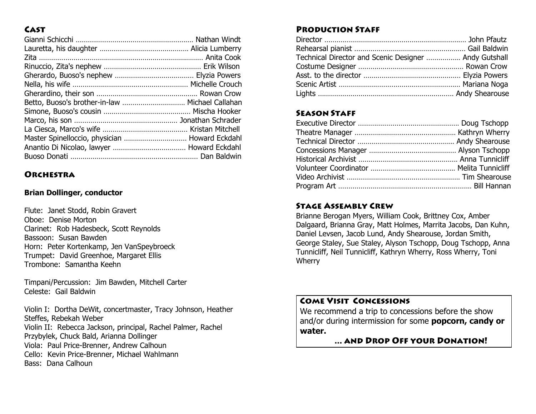## **CAST**

| Betto, Buoso's brother-in-law  Michael Callahan |  |
|-------------------------------------------------|--|
|                                                 |  |
|                                                 |  |
|                                                 |  |
| Master Spinelloccio, physician  Howard Eckdahl  |  |
|                                                 |  |
|                                                 |  |

### **ORCHESTRA**

#### **Brian Dollinger, conductor**

Flute: Janet Stodd, Robin Gravert Oboe: Denise Morton Clarinet: Rob Hadesbeck, Scott Reynolds Bassoon: Susan Bawden Horn: Peter Kortenkamp, Jen VanSpeybroeck Trumpet: David Greenhoe, Margaret Ellis Trombone: Samantha Keehn

Timpani/Percussion: Jim Bawden, Mitchell Carter Celeste: Gail Baldwin

Violin I: Dortha DeWit, concertmaster, Tracy Johnson, Heather Steffes, Rebekah Weber Violin II: Rebecca Jackson, principal, Rachel Palmer, Rachel Przybylek, Chuck Bald, Arianna Dollinger Viola: Paul Price-Brenner, Andrew Calhoun Cello: Kevin Price-Brenner, Michael Wahlmann Bass: Dana Calhoun

## **PRODUCTION STAFF**

| Technical Director and Scenic Designer  Andy Gutshall |  |
|-------------------------------------------------------|--|
|                                                       |  |
|                                                       |  |
|                                                       |  |
|                                                       |  |

## **SEASON STAFF**

### **STAGE ASSEMBLY CREW**

Brianne Berogan Myers, William Cook, Brittney Cox, Amber Dalgaard, Brianna Gray, Matt Holmes, Marrita Jacobs, Dan Kuhn, Daniel Levsen, Jacob Lund, Andy Shearouse, Jordan Smith, George Staley, Sue Staley, Alyson Tschopp, Doug Tschopp, Anna Tunnicliff, Neil Tunnicliff, Kathryn Wherry, Ross Wherry, Toni Wherry

#### **COME VISIT CONCESSIONS**

We recommend a trip to concessions before the show and/or during intermission for some **popcorn, candy or water.**

... AND DROP OFF YOUR DONATION!